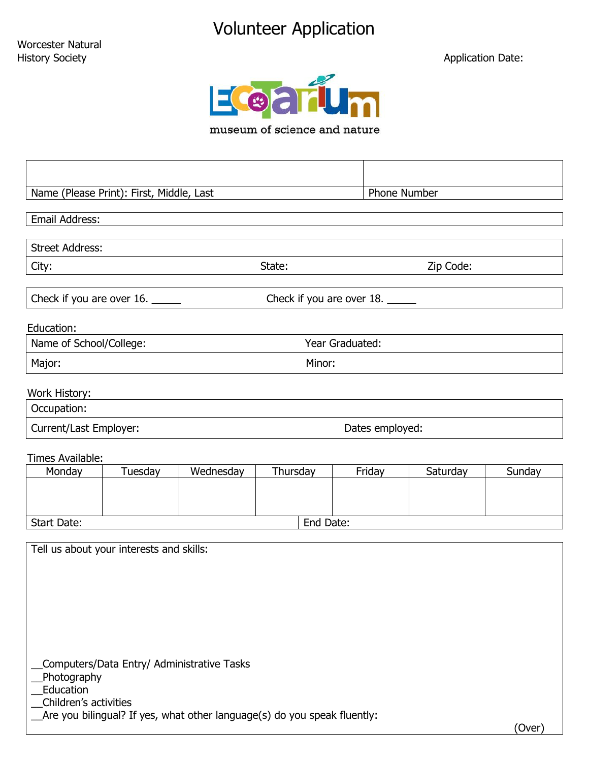## Volunteer Application

Application Date:



museum of science and nature

| Name (Please Print): First, Middle, Last |                                            |                                                                          |                           |                 | Phone Number |        |  |  |
|------------------------------------------|--------------------------------------------|--------------------------------------------------------------------------|---------------------------|-----------------|--------------|--------|--|--|
| Email Address:                           |                                            |                                                                          |                           |                 |              |        |  |  |
|                                          |                                            |                                                                          |                           |                 |              |        |  |  |
| <b>Street Address:</b>                   |                                            |                                                                          |                           |                 |              |        |  |  |
| City:                                    |                                            |                                                                          | Zip Code:<br>State:       |                 |              |        |  |  |
| Check if you are over 16.                |                                            |                                                                          | Check if you are over 18. |                 |              |        |  |  |
| Education:                               |                                            |                                                                          |                           |                 |              |        |  |  |
| Name of School/College:                  |                                            |                                                                          | Year Graduated:           |                 |              |        |  |  |
| Major:                                   |                                            |                                                                          |                           | Minor:          |              |        |  |  |
| Work History:                            |                                            |                                                                          |                           |                 |              |        |  |  |
| Occupation:                              |                                            |                                                                          |                           |                 |              |        |  |  |
| Current/Last Employer:                   |                                            |                                                                          |                           | Dates employed: |              |        |  |  |
|                                          |                                            |                                                                          |                           |                 |              |        |  |  |
| Times Available:                         |                                            |                                                                          |                           |                 |              |        |  |  |
| Monday                                   | Tuesday                                    | Wednesday                                                                | Thursday                  | Friday          | Saturday     | Sunday |  |  |
|                                          |                                            |                                                                          |                           |                 |              |        |  |  |
| Start Date:                              | End Date:                                  |                                                                          |                           |                 |              |        |  |  |
|                                          |                                            |                                                                          |                           |                 |              |        |  |  |
|                                          | Tell us about your interests and skills:   |                                                                          |                           |                 |              |        |  |  |
|                                          |                                            |                                                                          |                           |                 |              |        |  |  |
|                                          |                                            |                                                                          |                           |                 |              |        |  |  |
|                                          |                                            |                                                                          |                           |                 |              |        |  |  |
|                                          |                                            |                                                                          |                           |                 |              |        |  |  |
|                                          |                                            |                                                                          |                           |                 |              |        |  |  |
|                                          | Computers/Data Entry/ Administrative Tasks |                                                                          |                           |                 |              |        |  |  |
|                                          | Photography                                |                                                                          |                           |                 |              |        |  |  |
| Education<br>Children's activities       |                                            |                                                                          |                           |                 |              |        |  |  |
|                                          |                                            | Are you bilingual? If yes, what other language(s) do you speak fluently: |                           |                 |              |        |  |  |
|                                          |                                            |                                                                          |                           |                 |              | (Over) |  |  |